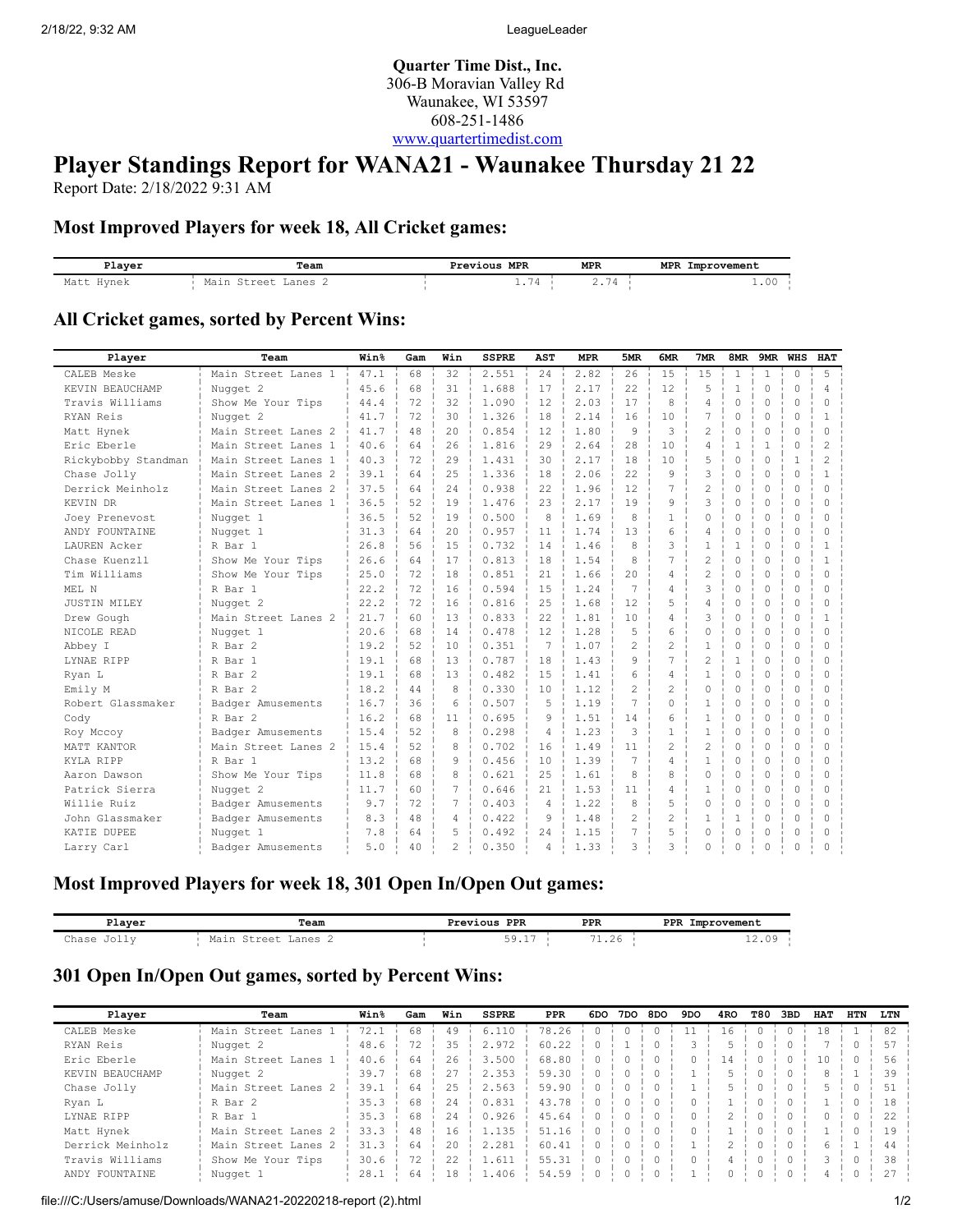**Quarter Time Dist., Inc.** 306-B Moravian Valley Rd Waunakee, WI 53597 608-251-1486 [www.quartertimedist.com](http://www.quartertimedist.com/)

# **Player Standings Report for WANA21 - Waunakee Thursday 21 22**

Report Date: 2/18/2022 9:31 AM

#### **Most Improved Players for week 18, All Cricket games:**

| Plaver        | Team            | MPR<br>Previous | <b>MPR</b>                           | <b>MPR</b><br>Improvement |  |  |  |
|---------------|-----------------|-----------------|--------------------------------------|---------------------------|--|--|--|
| Matt<br>Hvnek | :+raa+<br>Lanes | <b>. .</b>      | $\overline{\phantom{0}}$<br>$\prime$ | 2.VI                      |  |  |  |

#### **All Cricket games, sorted by Percent Wins:**

| Player              | Team                | Win <sup>8</sup> | Gam | Win            | <b>SSPRE</b> | AST            | <b>MPR</b> | 5MR            | 6MR            | 7MR            | 8MR          |              | 9MR WHS  | <b>HAT</b>     |
|---------------------|---------------------|------------------|-----|----------------|--------------|----------------|------------|----------------|----------------|----------------|--------------|--------------|----------|----------------|
| CALEB Meske         | Main Street Lanes 1 | 47.1             | 68  | 32             | 2.551        | 24             | 2.82       | 26             | 15             | 15             | $\mathbf{1}$ | $\mathbf{1}$ | $\circ$  | 5              |
| KEVIN BEAUCHAMP     | Nugget 2            | 45.6             | 68  | 31             | 1.688        | 17             | 2.17       | 22             | 12             | 5              | $\mathbf{1}$ | $\circ$      | $\Omega$ | 4              |
| Travis Williams     | Show Me Your Tips   | 44.4             | 72  | 32             | 1.090        | 12             | 2.03       | 17             | 8              | $\overline{4}$ | $\Omega$     | 0            | 0        | $\Omega$       |
| RYAN Reis           | Nugget 2            | 41.7             | 72  | 30             | 1.326        | 18             | 2.14       | 16             | 10             | 7              | 0            | $\circ$      | 0        | 1              |
| Matt Hynek          | Main Street Lanes 2 | 41.7             | 48  | 2.0            | 0.854        | 12             | 1.80       | 9              | 3              | $\overline{c}$ | $\Omega$     | $\Omega$     | $\Omega$ | $\Omega$       |
| Eric Eberle         | Main Street Lanes 1 | 40.6             | 64  | 26             | 1.816        | 29             | 2.64       | 28             | 10             | $\overline{4}$ | 1            | $\mathbf{1}$ | $\Omega$ | $\mathfrak{D}$ |
| Rickybobby Standman | Main Street Lanes 1 | 40.3             | 72  | 29             | 1.431        | 30             | 2.17       | 18             | 10             | 5              | $\Omega$     | $\Omega$     | -1.      | $\mathfrak{D}$ |
| Chase Jolly         | Main Street Lanes 2 | 39.1             | 64  | 2.5            | 1.336        | 18             | 2.06       | 22.2           | 9              | 3              | $\Omega$     | $\Omega$     | $\Omega$ | $\mathbf{1}$   |
| Derrick Meinholz    | Main Street Lanes 2 | 37.5             | 64  | 2.4            | 0.938        | 22             | 1.96       | 12             | 7              | $\overline{c}$ | 0            | $\circ$      | $\circ$  | $\Omega$       |
| KEVIN DR            | Main Street Lanes 1 | 36.5             | 52  | 19             | 1.476        | 23             | 2.17       | 19             | 9              | 3              | 0            | $\circ$      | 0        | $\Omega$       |
| Joey Prenevost      | Nugget 1            | 36.5             | 52  | 19             | 0.500        | 8              | 1.69       | 8              | 1              | $\Omega$       | $\Omega$     | $\Omega$     | $\Omega$ | $\bigcap$      |
| ANDY FOUNTAINE      | Nugget 1            | 31.3             | 64  | 20             | 0.957        | 11             | 1.74       | 13             | 6              | 4              | 0            | $\Omega$     | $\Omega$ | $\Omega$       |
| LAUREN Acker        | R Bar 1             | 26.8             | 56  | 1.5            | 0.732        | 14             | 1.46       | 8              | 3              | $\mathbf{1}$   | $\mathbf{1}$ | 0            | 0        | $\mathbf{1}$   |
| Chase Kuenzll       | Show Me Your Tips   | 26.6             | 64  | 17             | 0.813        | 18             | 1.54       | 8              | $\overline{7}$ | $\overline{c}$ | $\Omega$     | $\circ$      | $\Omega$ | $\overline{1}$ |
| Tim Williams        | Show Me Your Tips   | 25.0             | 72  | 18             | 0.851        | 21             | 1.66       | 20             | $\overline{4}$ | 2              | $\circ$      | 0            | 0        | <sup>0</sup>   |
| MEL N               | R Bar 1             | 22.2             | 72  | 16             | 0.594        | 15             | 1.24       | 7              | 4              | 3              | 0            | 0            | 0        | <sup>0</sup>   |
| <b>JUSTIN MILEY</b> | Nugget 2            | 22.2             | 72  | 16             | 0.816        | 25             | 1.68       | 12             | 5              | $\overline{4}$ | $\Omega$     | 0            | $\Omega$ | $\bigcap$      |
| Drew Gough          | Main Street Lanes 2 | 21.7             | 60  | 13             | 0.833        | 22             | 1.81       | 10             | $\overline{4}$ | 3              | $\Omega$     | $\Omega$     | $\Omega$ | -1             |
| NICOLE READ         | Nugget 1            | 20.6             | 68  | 14             | 0.478        | 12             | 1.28       | 5              | 6              | $\Omega$       | $\Omega$     | $\Omega$     | $\Omega$ | $\Omega$       |
| Abbey I             | R Bar 2             | 19.2             | 52  | 10             | 0.351        | 7              | 1.07       | $\overline{c}$ | $\overline{2}$ | $\mathbf{1}$   | 0            | $\Omega$     | $\Omega$ | $\Omega$       |
| LYNAE RIPP          | R Bar 1             | 19.1             | 68  | 13             | 0.787        | 18             | 1.43       | 9              | $\overline{7}$ | $\overline{c}$ | $\mathbf{1}$ | $\Omega$     | 0        | $\Omega$       |
| Ryan L              | R Bar 2             | 19.1             | 68  | 13             | 0.482        | 15             | 1.41       | 6              | $\overline{4}$ | $\mathbf{1}$   | $\Omega$     | $\Omega$     | $\Omega$ | $\Omega$       |
| Emily M             | R Bar 2             | 18.2             | 44  | 8              | 0.330        | 10             | 1.12       | $\overline{c}$ | $\overline{c}$ | $\Omega$       | $\Omega$     | $\Omega$     | $\Omega$ | $\cap$         |
| Robert Glassmaker   | Badger Amusements   | 16.7             | 36  | 6              | 0.507        | 5              | 1.19       | 7              | $\Omega$       | 1              | $\Omega$     | $\Omega$     | $\Omega$ | <sup>0</sup>   |
| Cody                | R Bar 2             | 16.2             | 68  | 11             | 0.695        | 9              | 1.51       | 14             | 6              | $\mathbf{1}$   | $\Omega$     | $\Omega$     | 0        | $\Omega$       |
| Roy Mccoy           | Badger Amusements   | 15.4             | 52  | 8              | 0.298        | 4              | 1.23       | 3              | $\mathbf{1}$   | $\mathbf{1}$   | $\circ$      | $\circ$      | $\circ$  | $\Omega$       |
| MATT KANTOR         | Main Street Lanes 2 | 15.4             | 52  | 8              | 0.702        | 16             | 1.49       | 11             | $\mathfrak{D}$ | $\overline{c}$ | $\Omega$     | $\Omega$     | $\Omega$ | $\Omega$       |
| KYLA RIPP           | R Bar 1             | 13.2             | 68  | 9              | 0.456        | 10             | 1.39       | 7              | $\overline{4}$ | $\mathbf{1}$   | 0            | $\Omega$     | $\Omega$ | $\Omega$       |
| Aaron Dawson        | Show Me Your Tips   | 11.8             | 68  | 8              | 0.621        | 25             | 1.61       | 8              | 8              | $\Omega$       | $\circ$      | $\Omega$     | 0        | $\Omega$       |
| Patrick Sierra      | Nugget 2            | 11.7             | 60  | 7              | 0.646        | 21             | 1.53       | 11             | $\overline{4}$ | 1              | $\Omega$     | $\Omega$     | 0        | $\cap$         |
| Willie Ruiz         | Badger Amusements   | 9.7              | 72  | 7              | 0.403        | $\overline{4}$ | 1.22       | 8              | 5              | 0              | $\Omega$     | 0            | 0        | $\cap$         |
| John Glassmaker     | Badger Amusements   | 8.3              | 48  | 4              | 0.422        | 9              | 1.48       | 2              | $\overline{c}$ | 1              | 1            | 0            | 0        | $\Omega$       |
| KATIE DUPEE         | Nugget 1            | 7.8              | 64  | 5              | 0.492        | 24             | 1.15       | 7              | 5              | $\Omega$       | $\Omega$     | $\Omega$     | $\Omega$ | $\Omega$       |
| Larry Carl          | Badger Amusements   | 5.0              | 40  | $\mathfrak{D}$ | 0.350        | 4              | 1.33       | 3              | 3              | $\Omega$       | 0            | $\Omega$     | $\Omega$ |                |

### **Most Improved Players for week 18, 301 Open In/Open Out games:**

| Player                    | Team                                    | Previous PPR                     | <b>PPR</b>                     | <b>PPR</b><br>Improvement |
|---------------------------|-----------------------------------------|----------------------------------|--------------------------------|---------------------------|
| $\sim$<br>:hase<br>$\tau$ | Mair<br>anes<br>$\circ$ $\circ$ $\circ$ | $E \Omega$<br>$\sim$ $\sim$<br>. | $\sim$<br>$\sim$<br><b>1.L</b> | $\cap$ $\cap$<br>14.VJ    |

#### **301 Open In/Open Out games, sorted by Percent Wins:**

| Player           | Team                | Win <sup>8</sup> | Gam | Win  | <b>SSPRE</b> | <b>PPR</b> | 6DO | 7DO.      | 8DO | 9DO | 4RO    | T80 | 3BD       | HAT | HTN        | LTN |
|------------------|---------------------|------------------|-----|------|--------------|------------|-----|-----------|-----|-----|--------|-----|-----------|-----|------------|-----|
| CALEB Meske      | Main Street Lanes 1 | 72.1             | 68  | 49   | 6.110        | 78.26      |     | $\bigcap$ |     | 11  | 16     | 0.  | $\Omega$  | 18  |            | 82  |
| RYAN Reis        | Nugget 2            | 48.6             | 72  | 35   | 2.972        | 60.22      |     |           |     |     |        |     |           |     |            | 57  |
| Eric Eberle      | Main Street Lanes 1 | 40.6             | 64  | 26   | 3.500        | 68.80      |     |           |     |     | l 4    |     |           | 10  |            | 56  |
| KEVIN BEAUCHAMP  | Nugget 2            | 39.7             | 68  | 27   | 2.353        | 59.30      |     |           |     |     |        |     |           | 8   |            | 39  |
| Chase Jolly      | Main Street Lanes 2 | 39.1             | 64  | 2.5  | 2.563        | 59.90      |     |           |     |     |        |     |           |     |            | 51  |
| Ryan L           | R Bar 2             | 35.3             | 68  | 24   | 0.831        | 43.78      |     |           |     |     |        |     |           |     |            | 18  |
| LYNAE RIPP       | R Bar 1             | 35.3             | 68  | 2.4  | 0.926        | 45.64      |     |           |     |     |        |     |           |     | $^{\circ}$ | 22  |
| Matt Hynek       | Main Street Lanes 2 | 33.3             | 48  | 16   | 1.135        | 51.16      |     |           |     |     |        |     |           |     |            | 19  |
| Derrick Meinholz | Main Street Lanes 2 | 31.3             | 64  | 20   | 2.281        | 60.41      |     |           |     |     |        |     |           |     |            | 44  |
| Travis Williams  | Show Me Your Tips   | 30.6             | 72  | 22.2 | 1.611        | 55.31      |     |           |     |     | 4      |     |           |     |            | 38  |
| ANDY FOUNTAINE   | Nugget 1            | 28.1             | 64  | 18   | 1.406        | 54.59      |     |           |     |     | $\cap$ |     | $\bigcap$ |     |            | 27  |

file:///C:/Users/amuse/Downloads/WANA21-20220218-report (2).html 1/2